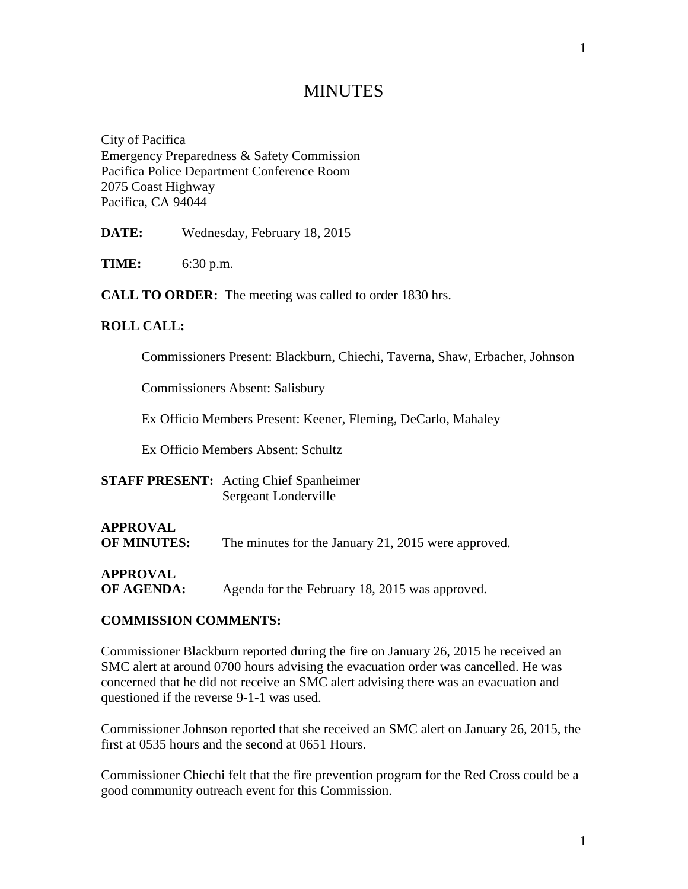# **MINUTES**

City of Pacifica Emergency Preparedness & Safety Commission Pacifica Police Department Conference Room 2075 Coast Highway Pacifica, CA 94044

**DATE:** Wednesday, February 18, 2015

**TIME:** 6:30 p.m.

**CALL TO ORDER:** The meeting was called to order 1830 hrs.

### **ROLL CALL:**

Commissioners Present: Blackburn, Chiechi, Taverna, Shaw, Erbacher, Johnson

Commissioners Absent: Salisbury

Ex Officio Members Present: Keener, Fleming, DeCarlo, Mahaley

Ex Officio Members Absent: Schultz

**STAFF PRESENT:** Acting Chief Spanheimer Sergeant Londerville

# **APPROVAL OF MINUTES:** The minutes for the January 21, 2015 were approved.

**APPROVAL**

**OF AGENDA:** Agenda for the February 18, 2015 was approved.

#### **COMMISSION COMMENTS:**

Commissioner Blackburn reported during the fire on January 26, 2015 he received an SMC alert at around 0700 hours advising the evacuation order was cancelled. He was concerned that he did not receive an SMC alert advising there was an evacuation and questioned if the reverse 9-1-1 was used.

Commissioner Johnson reported that she received an SMC alert on January 26, 2015, the first at 0535 hours and the second at 0651 Hours.

Commissioner Chiechi felt that the fire prevention program for the Red Cross could be a good community outreach event for this Commission.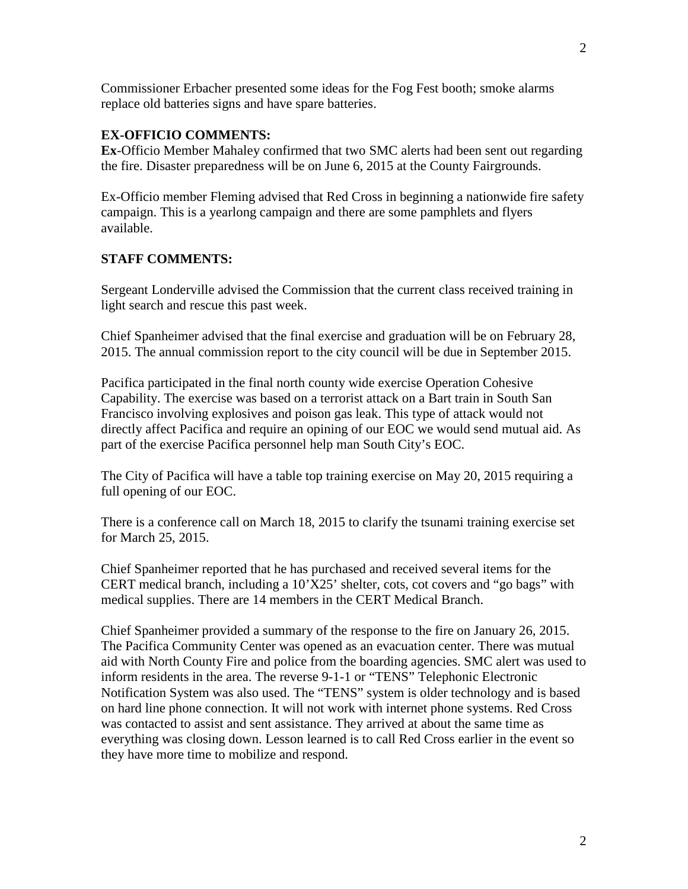2

Commissioner Erbacher presented some ideas for the Fog Fest booth; smoke alarms replace old batteries signs and have spare batteries.

### **EX-OFFICIO COMMENTS:**

**Ex**-Officio Member Mahaley confirmed that two SMC alerts had been sent out regarding the fire. Disaster preparedness will be on June 6, 2015 at the County Fairgrounds.

Ex-Officio member Fleming advised that Red Cross in beginning a nationwide fire safety campaign. This is a yearlong campaign and there are some pamphlets and flyers available.

### **STAFF COMMENTS:**

Sergeant Londerville advised the Commission that the current class received training in light search and rescue this past week.

Chief Spanheimer advised that the final exercise and graduation will be on February 28, 2015. The annual commission report to the city council will be due in September 2015.

Pacifica participated in the final north county wide exercise Operation Cohesive Capability. The exercise was based on a terrorist attack on a Bart train in South San Francisco involving explosives and poison gas leak. This type of attack would not directly affect Pacifica and require an opining of our EOC we would send mutual aid. As part of the exercise Pacifica personnel help man South City's EOC.

The City of Pacifica will have a table top training exercise on May 20, 2015 requiring a full opening of our EOC.

There is a conference call on March 18, 2015 to clarify the tsunami training exercise set for March 25, 2015.

Chief Spanheimer reported that he has purchased and received several items for the CERT medical branch, including a 10'X25' shelter, cots, cot covers and "go bags" with medical supplies. There are 14 members in the CERT Medical Branch.

Chief Spanheimer provided a summary of the response to the fire on January 26, 2015. The Pacifica Community Center was opened as an evacuation center. There was mutual aid with North County Fire and police from the boarding agencies. SMC alert was used to inform residents in the area. The reverse 9-1-1 or "TENS" Telephonic Electronic Notification System was also used. The "TENS" system is older technology and is based on hard line phone connection. It will not work with internet phone systems. Red Cross was contacted to assist and sent assistance. They arrived at about the same time as everything was closing down. Lesson learned is to call Red Cross earlier in the event so they have more time to mobilize and respond.